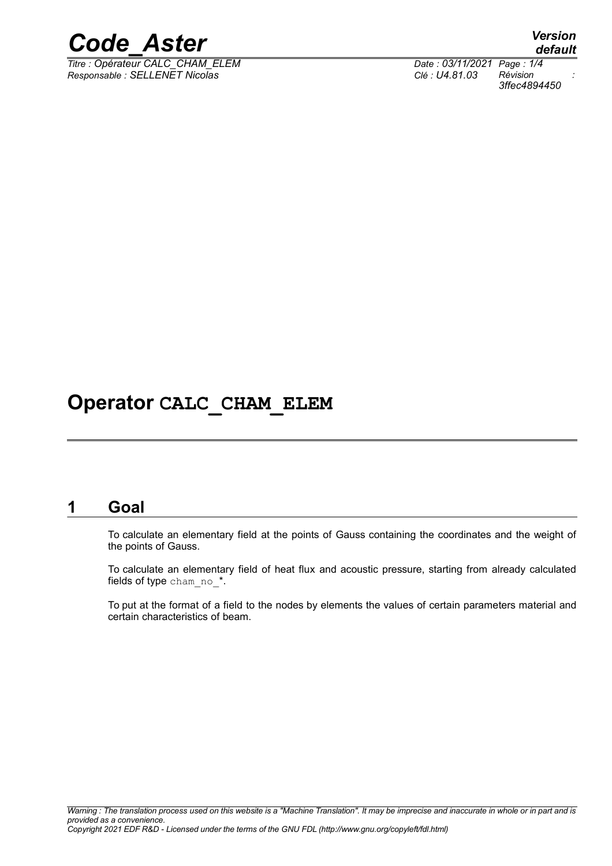

*Titre : Opérateur CALC\_CHAM\_ELEM Date : 03/11/2021 Page : 1/4 Responsable : SELLENET Nicolas Clé : U4.81.03 Révision :*

*default 3ffec4894450*

# **Operator CALC\_CHAM\_ELEM**

#### **1 Goal**

To calculate an elementary field at the points of Gauss containing the coordinates and the weight of the points of Gauss.

To calculate an elementary field of heat flux and acoustic pressure, starting from already calculated fields of type cham no \*.

To put at the format of a field to the nodes by elements the values of certain parameters material and certain characteristics of beam.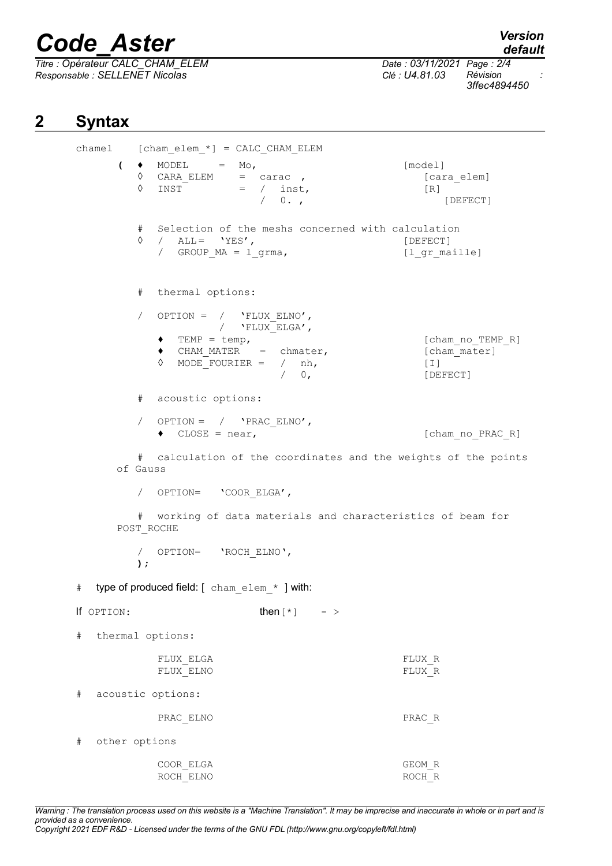# *Code\_Aster Version*

 $\overline{T}$ itre : Opérateur CALC\_CHAM\_ELEM *Responsable : SELLENET Nicolas Clé : U4.81.03 Révision :*

*3ffec4894450*

## **2 Syntax**

chamel  $[char\; \times\; ] = CALC\; \times$ CHAM ELEM  $\left( \begin{array}{ccc} \bullet & \text{MODEL} & = & \text{Mo}, \end{array} \right)$  [model]  $\Diamond$  CARA ELEM = carac ,  $\Diamond$  [cara elem]  $\begin{array}{cccc} \Diamond & \text{INST}^- & = & / & \text{inst,} \\ & & / & 0. \end{array}$  [R] / 0. , [DEFECT] # Selection of the meshs concerned with calculation ◊ / ALL = 'YES', [DEFECT] / GROUP  $MA = 1$  grma, # thermal options: / OPTION =  $/$  'FLUX ELNO',  $/$  'FLUX\_ELGA',<br>TEMP = temp, ♦ TEMP = temp, [cham\_no\_TEMP\_R]  $\bullet$  CHAM MATER = chmater,  $\overline{\phantom{a}}$  [cham\_mater]  $\begin{array}{cccc}\n\lozenge & \text{MODE}^- & \text{FOURIER} & = & / & \text{nh}, \\
& & / & 0, & \text{[DE} \n\end{array}$ [DEFECT] # acoustic options: / OPTION =  $/$  'PRAC ELNO', ♦ CLOSE = near, [cham\_no\_PRAC\_R] # calculation of the coordinates and the weights of the points of Gauss / OPTION= 'COOR\_ELGA', # working of data materials and characteristics of beam for POST\_ROCHE / OPTION= 'ROCH\_ELNO', **);** # type of produced field:  $[$  cham elem  $*$  ] with: If OPTION: then  $[*]$  - > # thermal options: FLUX\_ELGA FLUX\_R FLUX\_ELNO # acoustic options: PRAC\_ELNO PRAC\_R # other options COOR\_ELGA GEOM\_R ROCH\_ELNO ROCH\_R

*Warning : The translation process used on this website is a "Machine Translation". It may be imprecise and inaccurate in whole or in part and is provided as a convenience. Copyright 2021 EDF R&D - Licensed under the terms of the GNU FDL (http://www.gnu.org/copyleft/fdl.html)*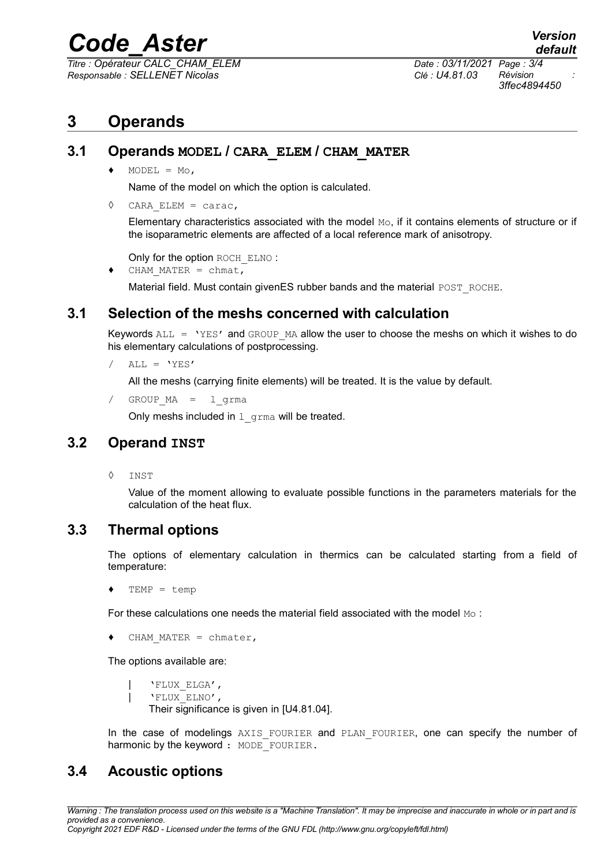# *Code\_Aster Version*

*Titre : Opérateur CALC\_CHAM\_ELEM Date : 03/11/2021 Page : 3/4 Responsable : SELLENET Nicolas Clé : U4.81.03 Révision :*

*3ffec4894450*

## **3 Operands**

#### **3.1 Operands MODEL / CARA\_ELEM / CHAM\_MATER**

 $\triangleleft$  MODEL = Mo,

Name of the model on which the option is calculated.

◊ CARA\_ELEM = carac,

Elementary characteristics associated with the model  $M_{\odot}$ , if it contains elements of structure or if the isoparametric elements are affected of a local reference mark of anisotropy.

Only for the option ROCH ELNO :

 $\triangleleft$  CHAM MATER = chmat,

Material field. Must contain givenES rubber bands and the material POST\_ROCHE.

#### **3.1 Selection of the meshs concerned with calculation**

Keywords  $ALL = 'YES'$  and GROUP MA allow the user to choose the meshs on which it wishes to do his elementary calculations of postprocessing.

 $/$  ALL =  $'YES'$ 

All the meshs (carrying finite elements) will be treated. It is the value by default.

/ GROUP\_MA = l\_grma

Only meshs included in  $1$  grma will be treated.

#### **3.2 Operand INST**

◊ INST

Value of the moment allowing to evaluate possible functions in the parameters materials for the calculation of the heat flux.

#### **3.3 Thermal options**

The options of elementary calculation in thermics can be calculated starting from a field of temperature:

 $TEMP = temp$ 

For these calculations one needs the material field associated with the model Mo:

 $\triangleleft$  CHAM MATER = chmater,

The options available are:

| 'FLUX\_ELGA', | 'FLUX\_ELNO', Their significance is given in [U4.81.04].

In the case of modelings AXIS FOURIER and PLAN FOURIER, one can specify the number of harmonic by the keyword : MODE FOURIER.

#### **3.4 Acoustic options**